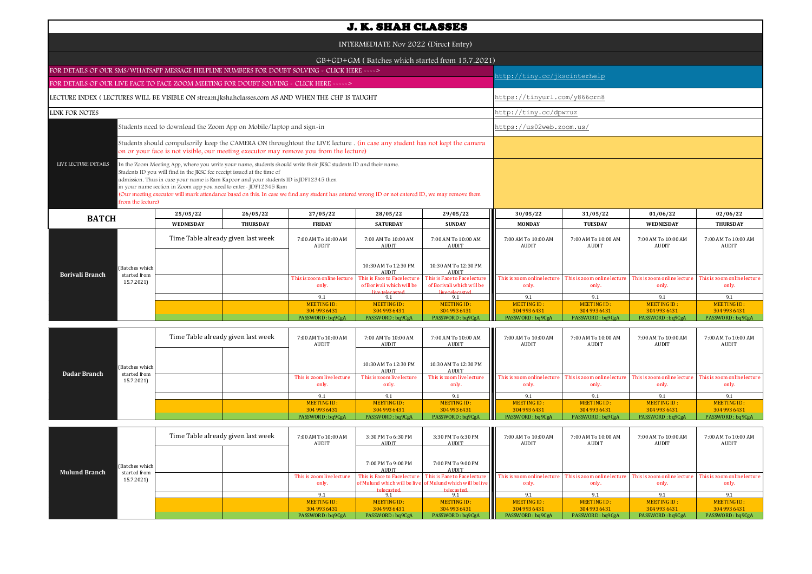| <b>J. K. SHAH CLASSES</b>                                                                         |                                                                         |                                                                                                                                                                                                                                                                                                                                                                                                                                  |                                                                                                                                                                                                                     |                                                                              |                                                                                     |                                      |                                     |                                      |                                      |  |  |
|---------------------------------------------------------------------------------------------------|-------------------------------------------------------------------------|----------------------------------------------------------------------------------------------------------------------------------------------------------------------------------------------------------------------------------------------------------------------------------------------------------------------------------------------------------------------------------------------------------------------------------|---------------------------------------------------------------------------------------------------------------------------------------------------------------------------------------------------------------------|------------------------------------------------------------------------------|-------------------------------------------------------------------------------------|--------------------------------------|-------------------------------------|--------------------------------------|--------------------------------------|--|--|
|                                                                                                   |                                                                         |                                                                                                                                                                                                                                                                                                                                                                                                                                  |                                                                                                                                                                                                                     | INTERMEDIATE Nov 2022 (Direct Entry)                                         |                                                                                     |                                      |                                     |                                      |                                      |  |  |
|                                                                                                   |                                                                         |                                                                                                                                                                                                                                                                                                                                                                                                                                  |                                                                                                                                                                                                                     |                                                                              | GB+GD+GM (Batches which started from 15.7.2021)                                     |                                      |                                     |                                      |                                      |  |  |
| FOR DETAILS OF OUR SMS/WHATSAPP MESSAGE HELPLINE NUMBERS FOR DOUBT SOLVING - CLICK HERE ---->     |                                                                         |                                                                                                                                                                                                                                                                                                                                                                                                                                  |                                                                                                                                                                                                                     |                                                                              |                                                                                     |                                      | http://tiny.cc/jkscinterhelp        |                                      |                                      |  |  |
| FOR DETAILS OF OUR LIVE FACE TO FACE ZOOM MEETING FOR DOUBT SOLVING - CLICK HERE ----->           |                                                                         |                                                                                                                                                                                                                                                                                                                                                                                                                                  |                                                                                                                                                                                                                     |                                                                              |                                                                                     |                                      |                                     |                                      |                                      |  |  |
| LECTURE INDEX (LECTURES WILL BE VISIBLE ON stream.jkshahclasses.com AS AND WHEN THE CHP IS TAUGHT |                                                                         |                                                                                                                                                                                                                                                                                                                                                                                                                                  |                                                                                                                                                                                                                     |                                                                              |                                                                                     |                                      | https://tinyurl.com/y866crn8        |                                      |                                      |  |  |
| <b>LINK FOR NOTES</b>                                                                             |                                                                         |                                                                                                                                                                                                                                                                                                                                                                                                                                  |                                                                                                                                                                                                                     |                                                                              |                                                                                     | http://tiny.cc/dpwruz                |                                     |                                      |                                      |  |  |
|                                                                                                   |                                                                         | Students need to download the Zoom App on Mobile/laptop and sign-in                                                                                                                                                                                                                                                                                                                                                              |                                                                                                                                                                                                                     |                                                                              |                                                                                     | https://us02web.zoom.us/             |                                     |                                      |                                      |  |  |
|                                                                                                   |                                                                         |                                                                                                                                                                                                                                                                                                                                                                                                                                  | Students should compulsorily keep the CAMERA ON throughtout the LIVE lecture. (in case any student has not kept the camera<br>on or your face is not visible, our meeting executor may remove you from the lecture) |                                                                              |                                                                                     |                                      |                                     |                                      |                                      |  |  |
| LIVE LECTURE DETAILS<br>from the lecture)                                                         | Students ID you will find in the JKSC fee receipt issued at the time of | In the Zoom Meeting App, where you write your name, students should write their JKSC students ID and their name.<br>admission. Thus in case your name is Ram Kapoor and your students ID is JDF12345 then<br>in your name section in Zoom app you need to enter-JDF12345 Ram<br>(Our meeting executor will mark attendance based on this. In case we find any student has entered wrong ID or not entered ID, we may remove them |                                                                                                                                                                                                                     |                                                                              |                                                                                     |                                      |                                     |                                      |                                      |  |  |
| <b>BATCH</b>                                                                                      | 25/05/22                                                                | 26/05/22                                                                                                                                                                                                                                                                                                                                                                                                                         | 27/05/22                                                                                                                                                                                                            | 28/05/22                                                                     | 29/05/22                                                                            | 30/05/22                             | 31/05/22                            | 01/06/22                             | 02/06/22                             |  |  |
|                                                                                                   | WEDNESDAY                                                               | <b>THURSDAY</b>                                                                                                                                                                                                                                                                                                                                                                                                                  | <b>FRIDAY</b>                                                                                                                                                                                                       | <b>SATURDAY</b>                                                              | <b>SUNDAY</b>                                                                       | <b>MONDAY</b>                        | <b>TUESDAY</b>                      | <b>WEDNESDAY</b>                     | <b>THURSDAY</b>                      |  |  |
|                                                                                                   | Time Table already given last week                                      |                                                                                                                                                                                                                                                                                                                                                                                                                                  | 7:00 AM To 10:00 AM<br><b>AUDIT</b>                                                                                                                                                                                 | 7:00 AM To 10:00 AM<br>AUDIT                                                 | 7:00 AM To 10:00 AM<br><b>AUDIT</b>                                                 | 7:00 AM To 10:00 AM<br><b>AUDIT</b>  | 7:00 AM To 10:00 AM<br>AUDIT        | 7:00 AM To 10:00 AM<br>AUDIT         | 7:00 AM To 10:00 AM<br><b>AUDIT</b>  |  |  |
| (Batches which<br><b>Borivali Branch</b><br>started from                                          |                                                                         |                                                                                                                                                                                                                                                                                                                                                                                                                                  |                                                                                                                                                                                                                     | 10:30 AM To 12:30 PM<br>AUDIT                                                | 10:30 AM To 12:30 PM<br>AUDIT                                                       |                                      |                                     |                                      |                                      |  |  |
| 15.7.2021)                                                                                        |                                                                         |                                                                                                                                                                                                                                                                                                                                                                                                                                  | This is zoom online lecture<br>only.                                                                                                                                                                                | This is Face to Face lecture<br>of Borivali which will be<br>live telecasted | <b>This is Face to Face lecture</b><br>of Borivali which will be<br>live telecasted | This is zoom online lecture<br>only. | This is zoom online lectur<br>only. | This is zoom online lecture<br>only. | This is zoom online lecture<br>only. |  |  |
|                                                                                                   |                                                                         |                                                                                                                                                                                                                                                                                                                                                                                                                                  | 9.1                                                                                                                                                                                                                 | 9.1                                                                          | 9.1                                                                                 | 9.1                                  | 9.1                                 | 9.1                                  | 9.1                                  |  |  |
|                                                                                                   |                                                                         |                                                                                                                                                                                                                                                                                                                                                                                                                                  | MEETING ID:<br>304 993 6431                                                                                                                                                                                         | <b>MEETING ID:</b><br>304 993 6431                                           | <b>MEETING ID:</b><br>304 993 6431                                                  | <b>MEETING ID:</b><br>304 993 6431   | <b>MEETING ID:</b><br>304 993 6431  | MEETING ID:<br>304 993 6431          | <b>MEETING ID:</b><br>304 993 6431   |  |  |
|                                                                                                   |                                                                         |                                                                                                                                                                                                                                                                                                                                                                                                                                  | PASSWORD: bq9CgA                                                                                                                                                                                                    | PASSWORD: bq9CgA                                                             | PASSWORD: bq9CgA                                                                    | PASSWORD: bq9CgA                     | PASSWORD: bq9CgA                    | PASSWORD: bq9CgA                     | PASSWORD: bq9CgA                     |  |  |
|                                                                                                   |                                                                         |                                                                                                                                                                                                                                                                                                                                                                                                                                  |                                                                                                                                                                                                                     |                                                                              |                                                                                     |                                      |                                     |                                      |                                      |  |  |

|              |                                              | Time Table already given last week |  | 7:00 AM To 10:00 AM<br>AUDIT       | 7:00 AM To 10:00 AM<br>AUDIT       | 7:00 AM To 10:00 AM<br>AUDIT       | 7:00 AM To 10:00 AM<br>AUDIT                                                                 | 7:00 AM To 10:00 AM<br>AUDIT | 7:00 AM To 10:00 AM<br>AUDIT | 7:00 AM To 10:00 AM<br>AUDIT         |
|--------------|----------------------------------------------|------------------------------------|--|------------------------------------|------------------------------------|------------------------------------|----------------------------------------------------------------------------------------------|------------------------------|------------------------------|--------------------------------------|
| Dadar Branch | (Batches which<br>started from<br>15.7.2021) |                                    |  |                                    | 10:30 AM To 12:30 PM<br>AUDIT      | 10:30 AM To 12:30 PM<br>AUDIT      |                                                                                              |                              |                              |                                      |
|              |                                              |                                    |  | This is zoom live lecture<br>only. | This is zoom live lecture<br>only. | This is zoom live lecture<br>only. | This is zoom online lecture This is zoom online lecture This is zoom online lecture<br>only. | only.                        | only.                        | This is zoom online lecture<br>only. |
|              |                                              |                                    |  | 9.1                                | $Q_1$                              | 9.1                                | 9.1                                                                                          |                              | 9.1                          |                                      |
|              |                                              |                                    |  | MEETING ID:                        | MEETING ID:                        | MEETING ID:                        | MEETING ID:                                                                                  | MEETING ID:                  | MEETING ID:                  | MEETING ID:                          |
|              |                                              |                                    |  | 304 993 6431                       | 304 993 6431                       | 304 993 6431                       | 304 993 6431                                                                                 | 304 993 6431                 | 304 993 6431                 | 304 993 6431                         |
|              |                                              |                                    |  | PASSWORD: bq9CgA                   | PASSWORD: bq9CgA                   | PASSWORD: bq9CgA                   | PASSWORD: bq9CgA                                                                             | PASSWORD: bq9CgA             | PASSWORD: bq9CgA             | PASSWORD: bq9CgA                     |

| <b>Mulund Branch</b><br>started from |                | Time Table already given last week |  | 7:00 AM To 10:00 AM<br>AUDIT       | 3:30 PM To 6:30 PM<br>AUDIT | 3:30 PM To 6:30 PM<br>AUDIT                                              | 7:00 AM To 10:00 AM<br>AUDIT                                                                                                                                                                                                            | 7:00 AM To 10:00 AM<br><b>AUDIT</b> | 7:00 AM To 10:00 AM<br><b>AUDIT</b> | 7:00 AM To 10:00 AM<br><b>AUDIT</b> |
|--------------------------------------|----------------|------------------------------------|--|------------------------------------|-----------------------------|--------------------------------------------------------------------------|-----------------------------------------------------------------------------------------------------------------------------------------------------------------------------------------------------------------------------------------|-------------------------------------|-------------------------------------|-------------------------------------|
|                                      | (Batches which |                                    |  |                                    | 7:00 PM To 9:00 PM<br>AUDIT | 7:00 PM To 9:00 PM<br><b>AUDIT</b>                                       |                                                                                                                                                                                                                                         |                                     |                                     |                                     |
|                                      | 15.7.2021)     |                                    |  | This is zoom live lecture<br>only. | telecasted                  | of Mulund which will be live of Mulund which will be live<br>telecasted. | This is Face lecture   This is Face to Face lecture     This is zoom online lecture   This is zoom online lecture   This is zoom online lecture   This is zoom online lecture   This is zoom online lecture   This is zoom onl<br>only. | only.                               | only.                               | only.                               |
|                                      |                |                                    |  |                                    |                             | 9.1                                                                      | 9.1                                                                                                                                                                                                                                     |                                     | $Q_1$                               |                                     |
|                                      |                |                                    |  | MEETING ID:                        | MEETING ID:                 | MEETING ID:                                                              | MEETING ID:                                                                                                                                                                                                                             | MEETING ID:                         | MEETING ID:                         | MEETING ID:                         |
|                                      |                |                                    |  | 304 993 6431                       | 304 993 6431                | 304 993 6431                                                             | 304 993 6431                                                                                                                                                                                                                            | 304 993 6431                        | 304 993 6431                        | 304 993 6431                        |
|                                      |                |                                    |  | PASSWORD: bq9CgA                   | PASSWORD: bq9CgA            | PASSWORD: bq9CgA                                                         | PASSWORD: bq9CgA                                                                                                                                                                                                                        | PASSWORD: bq9CgA                    | PASSWORD: bq9CgA                    | PASSWORD: bq9CgA                    |